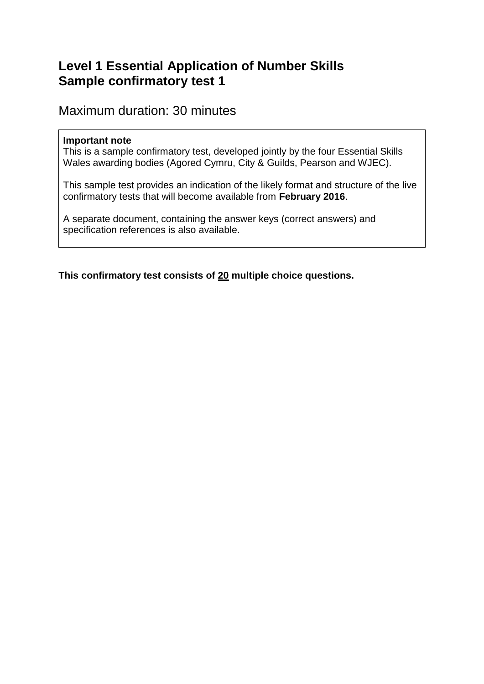## **Level 1 Essential Application of Number Skills Sample confirmatory test 1**

Maximum duration: 30 minutes

#### **Important note**

This is a sample confirmatory test, developed jointly by the four Essential Skills Wales awarding bodies (Agored Cymru, City & Guilds, Pearson and WJEC).

This sample test provides an indication of the likely format and structure of the live confirmatory tests that will become available from **February 2016**.

A separate document, containing the answer keys (correct answers) and specification references is also available.

**This confirmatory test consists of 20 multiple choice questions.**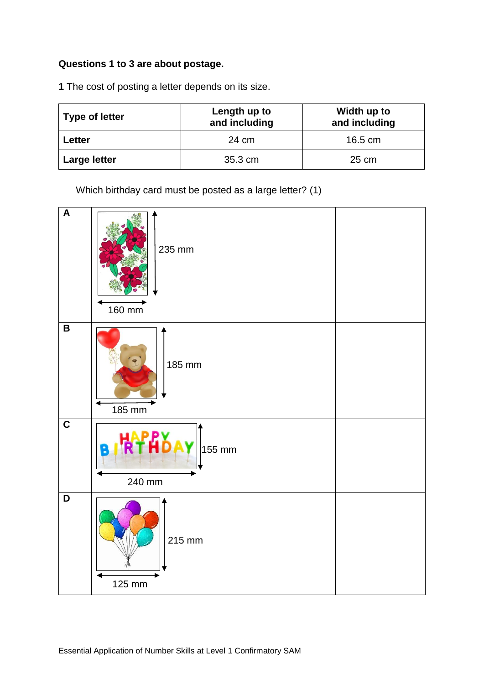#### **Questions 1 to 3 are about postage.**

**1** The cost of posting a letter depends on its size.

| <b>Type of letter</b> | Length up to<br>and including | Width up to<br>and including |
|-----------------------|-------------------------------|------------------------------|
| Letter                | 24 cm                         | $16.5 \text{ cm}$            |
| <b>Large letter</b>   | 35.3 cm                       | 25 cm                        |

Which birthday card must be posted as a large letter? (1)

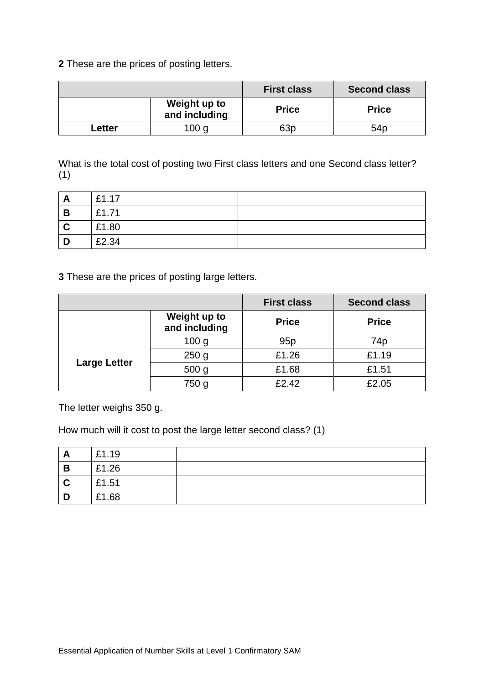**2** These are the prices of posting letters.

|        |                               | <b>First class</b> | <b>Second class</b> |
|--------|-------------------------------|--------------------|---------------------|
|        | Weight up to<br>and including | <b>Price</b>       | <b>Price</b>        |
| Letter | 100 <sub>g</sub>              | 63 <sub>p</sub>    | 54 <sub>p</sub>     |

What is the total cost of posting two First class letters and one Second class letter? (1)

| A | £1.17 |  |
|---|-------|--|
| B | £1.71 |  |
| C | £1.80 |  |
| D | £2.34 |  |

**3** These are the prices of posting large letters.

|                     |                               | <b>First class</b> | <b>Second class</b> |
|---------------------|-------------------------------|--------------------|---------------------|
|                     | Weight up to<br>and including | <b>Price</b>       | <b>Price</b>        |
| <b>Large Letter</b> | 100 <sub>g</sub>              | 95p                | 74p                 |
|                     | 250 <sub>g</sub>              | £1.26              | £1.19               |
|                     | 500 <sub>g</sub>              | £1.68              | £1.51               |
|                     | 750 g                         | £2.42              | £2.05               |

The letter weighs 350 g.

How much will it cost to post the large letter second class? (1)

| <u>гч</u> | £1.19 |  |
|-----------|-------|--|
| B         | £1.26 |  |
|           | £1.51 |  |
|           | £1.68 |  |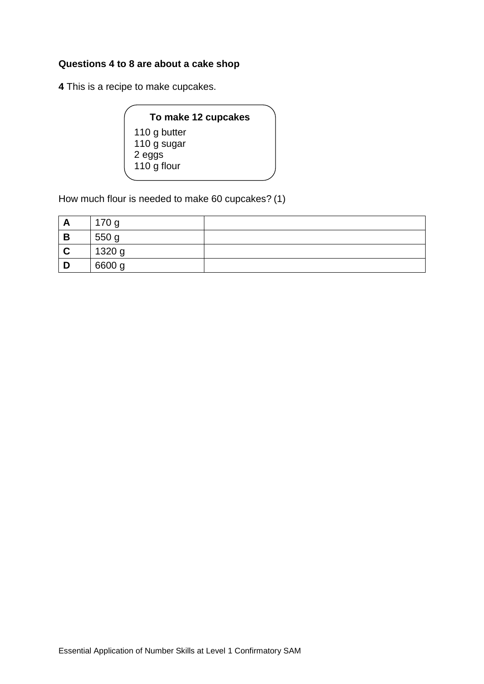#### **Questions 4 to 8 are about a cake shop**

**4** This is a recipe to make cupcakes.

| To make 12 cupcakes |  |
|---------------------|--|
| 110 g butter        |  |
| 110 g sugar         |  |
| 2 eggs              |  |
| 110 g flour         |  |
|                     |  |

How much flour is needed to make 60 cupcakes? (1)

| A | 170 g  |  |
|---|--------|--|
| B | 550 g  |  |
|   | 1320 g |  |
|   | 6600 g |  |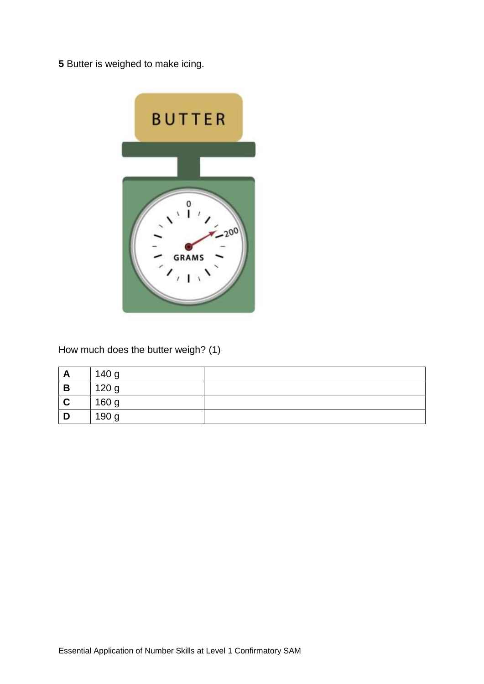**5** Butter is weighed to make icing.



How much does the butter weigh? (1)

| A<br>A | 140 g |  |
|--------|-------|--|
| B      | 120 g |  |
|        | 160 g |  |
|        | 190 g |  |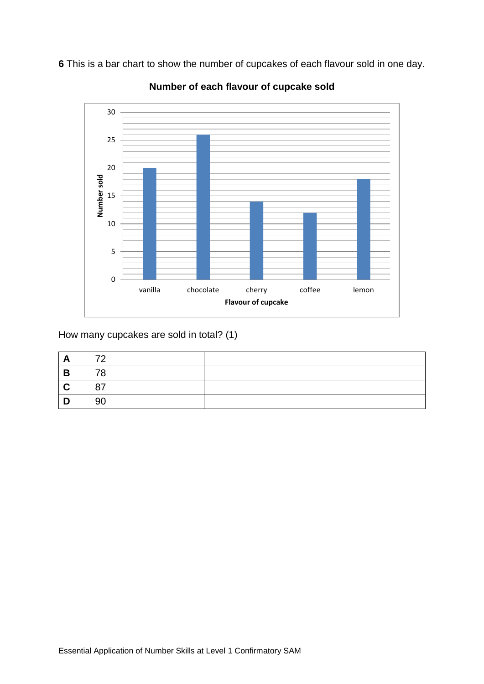**6** This is a bar chart to show the number of cupcakes of each flavour sold in one day.



**Number of each flavour of cupcake sold**

How many cupcakes are sold in total? (1)

| A           | 70 |  |
|-------------|----|--|
| B           | 78 |  |
| $\mathbf C$ | 87 |  |
| D           | 90 |  |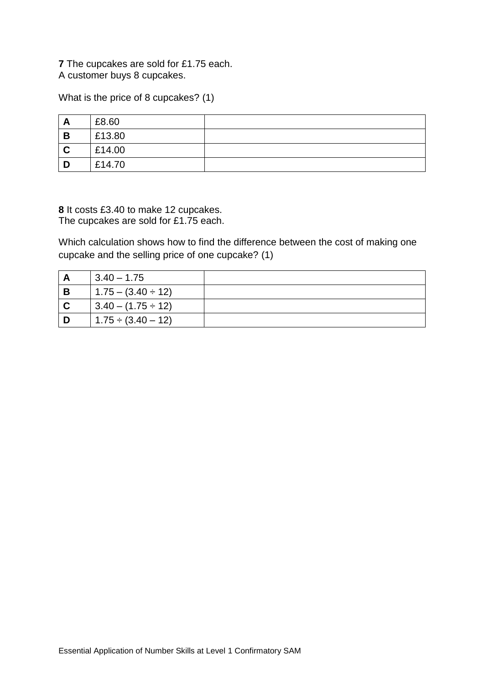**7** The cupcakes are sold for £1.75 each. A customer buys 8 cupcakes.

What is the price of 8 cupcakes? (1)

| A | £8.60  |  |
|---|--------|--|
| B | £13.80 |  |
| C | £14.00 |  |
| D | £14.70 |  |

**8** It costs £3.40 to make 12 cupcakes. The cupcakes are sold for £1.75 each.

Which calculation shows how to find the difference between the cost of making one cupcake and the selling price of one cupcake? (1)

| A              | $3.40 - 1.75$           |  |
|----------------|-------------------------|--|
| $\mathsf B$    | $1.75 - (3.40 \div 12)$ |  |
| $\overline{c}$ | $3.40 - (1.75 \div 12)$ |  |
| חו             | $1.75 \div (3.40 - 12)$ |  |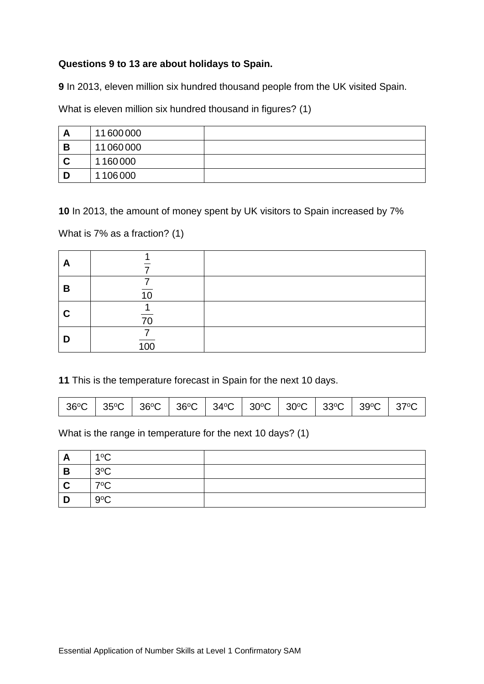#### **Questions 9 to 13 are about holidays to Spain.**

**9** In 2013, eleven million six hundred thousand people from the UK visited Spain.

What is eleven million six hundred thousand in figures? (1)

| A | 11600000 |  |
|---|----------|--|
| B | 11060000 |  |
|   | 1160000  |  |
| D | 1106000  |  |

**10** In 2013, the amount of money spent by UK visitors to Spain increased by 7%

What is 7% as a fraction? (1)

| A |                  |  |
|---|------------------|--|
| B |                  |  |
| C | 70               |  |
| D | $\overline{100}$ |  |

**11** This is the temperature forecast in Spain for the next 10 days.

|  |  |  |  |  |  |  |  | 36°C   35°C   36°C   36°C   34°C   30°C   30°C   33°C   39°C   37°C |  |
|--|--|--|--|--|--|--|--|---------------------------------------------------------------------|--|
|--|--|--|--|--|--|--|--|---------------------------------------------------------------------|--|

What is the range in temperature for the next 10 days? (1)

| A | $1^{\circ}$ C |  |
|---|---------------|--|
| B | $3^{\circ}$ C |  |
| ◡ | $7^{\circ}$ C |  |
| n | $9^{\circ}C$  |  |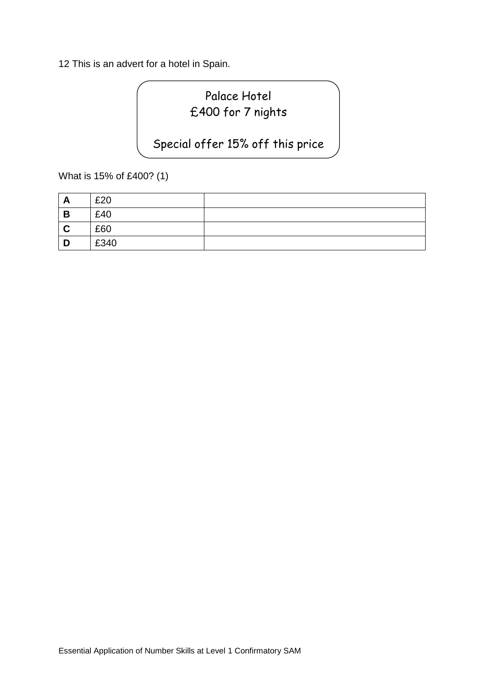12 This is an advert for a hotel in Spain.

# Palace Hotel £400 for 7 nights

### Special offer 15% off this price

What is 15% of £400? (1)

| A<br><u>r</u> | £20  |  |
|---------------|------|--|
| B             | £40  |  |
| C             | £60  |  |
| D             | £340 |  |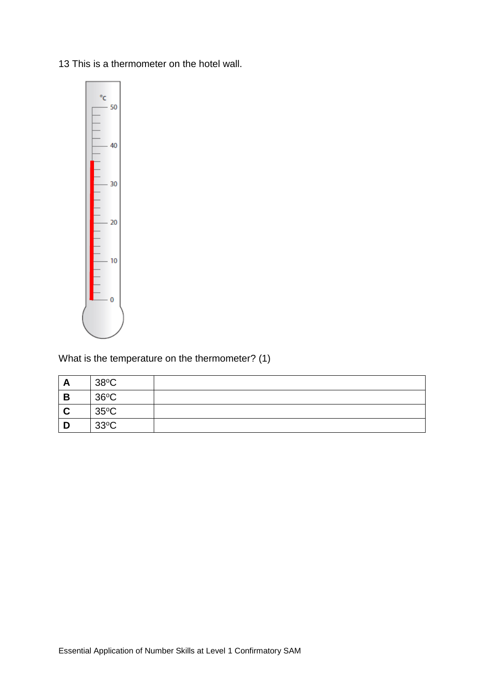13 This is a thermometer on the hotel wall.



What is the temperature on the thermometer? (1)

| $\mathbf{v}$<br><u>гч</u> | $38^{\circ}$ C |  |
|---------------------------|----------------|--|
| B                         | $36^{\circ}$ C |  |
|                           | $35^{\circ}$ C |  |
|                           | $33^{\circ}$ C |  |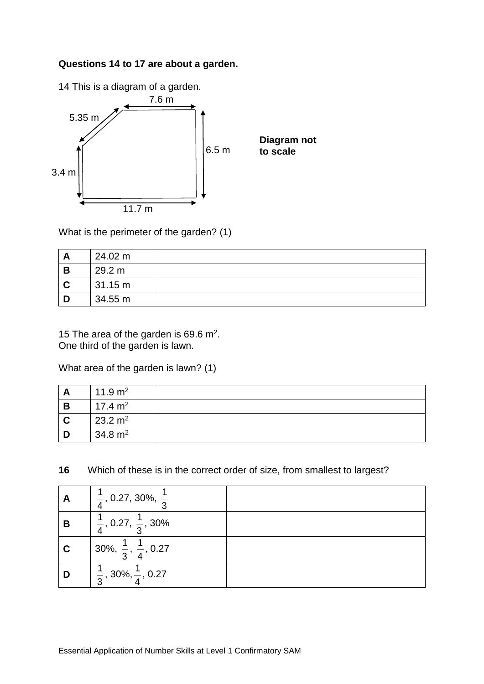#### **Questions 14 to 17 are about a garden.**



What is the perimeter of the garden? (1)

|   | 24.02 m |  |
|---|---------|--|
| В | 29.2 m  |  |
|   | 31.15 m |  |
|   | 34.55 m |  |

15 The area of the garden is 69.6  $m^2$ . One third of the garden is lawn.

What area of the garden is lawn? (1)

|   | 11.9 $m2$          |  |
|---|--------------------|--|
| B | 17.4 $m2$          |  |
|   | $23.2 \text{ m}^2$ |  |
|   | $34.8 \text{ m}^2$ |  |

**16** Which of these is in the correct order of size, from smallest to largest?

| A | $\frac{1}{4}$ , 0.27, 30%, $\frac{1}{3}$  |  |
|---|-------------------------------------------|--|
| B | $\frac{1}{4}$ , 0.27, $\frac{1}{3}$ , 30% |  |
|   | 30%, $\frac{1}{3}$ , $\frac{1}{4}$ , 0.27 |  |
| D | $ \frac{1}{3}, 30\%, \frac{1}{4}, 0.27$   |  |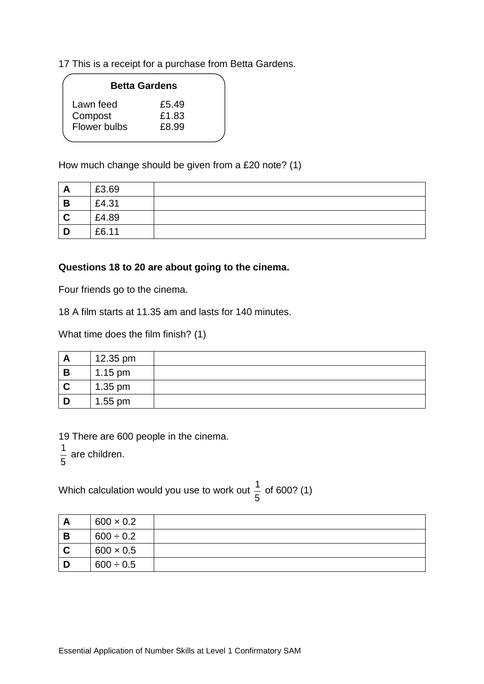17 This is a receipt for a purchase from Betta Gardens.

|              | <b>Betta Gardens</b> |
|--------------|----------------------|
| Lawn feed    | £5.49                |
| Compost      | £1.83                |
| Flower bulbs | £8.99                |

How much change should be given from a £20 note? (1)

| A        | £3.69 |  |
|----------|-------|--|
| B        | £4.31 |  |
| <b>C</b> | £4.89 |  |
| D        | £6.11 |  |

#### **Questions 18 to 20 are about going to the cinema.**

Four friends go to the cinema.

18 A film starts at 11.35 am and lasts for 140 minutes.

What time does the film finish? (1)

| n | 12.35 pm  |  |
|---|-----------|--|
| B | $1.15$ pm |  |
|   | $1.35$ pm |  |
|   | $1.55$ pm |  |

19 There are 600 people in the cinema.

1 are children.

5

Which calculation would you use to work out  $\frac{1}{x}$ 5 of 600? (1)

| Α | $600 \times 0.2$ |  |
|---|------------------|--|
| B | $600 \div 0.2$   |  |
| C | $600 \times 0.5$ |  |
| D | $600 \div 0.5$   |  |